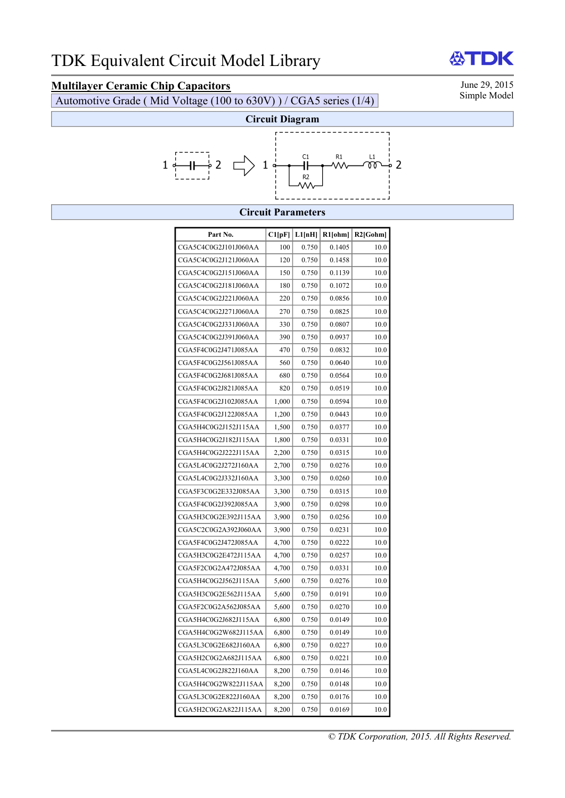# **Multilayer Ceramic Chip Capacitors**<br>
Automotive Grade (Mid Voltage (100 to 630V)) / CGA5 series (1/4) Simple Model

Automotive Grade ( Mid Voltage (100 to 630V) ) / CGA5 series (1/4)



#### **Circuit Parameters**

| Part No.             | Cl[pF] | L1[nH] | R1[ohm] | $R2$ [Gohm] |
|----------------------|--------|--------|---------|-------------|
| CGA5C4C0G2J101J060AA | 100    | 0.750  | 0.1405  | 10.0        |
| CGA5C4C0G2J121J060AA | 120    | 0.750  | 0.1458  | 10.0        |
| CGA5C4C0G2J151J060AA | 150    | 0.750  | 0.1139  | 10.0        |
| CGA5C4C0G2J181J060AA | 180    | 0.750  | 0.1072  | 10.0        |
| CGA5C4C0G2J221J060AA | 220    | 0.750  | 0.0856  | 10.0        |
| CGA5C4C0G2J271J060AA | 270    | 0.750  | 0.0825  | 10.0        |
| CGA5C4C0G2J331J060AA | 330    | 0.750  | 0.0807  | 10.0        |
| CGA5C4C0G2J391J060AA | 390    | 0.750  | 0.0937  | 10.0        |
| CGA5F4C0G2J471J085AA | 470    | 0.750  | 0.0832  | 10.0        |
| CGA5F4C0G2J561J085AA | 560    | 0.750  | 0.0640  | 10.0        |
| CGA5F4C0G2J681J085AA | 680    | 0.750  | 0.0564  | 10.0        |
| CGA5F4C0G2J821J085AA | 820    | 0.750  | 0.0519  | 10.0        |
| CGA5F4C0G2J102J085AA | 1,000  | 0.750  | 0.0594  | 10.0        |
| CGA5F4C0G2J122J085AA | 1,200  | 0.750  | 0.0443  | 10.0        |
| CGA5H4C0G2J152J115AA | 1,500  | 0.750  | 0.0377  | 10.0        |
| CGA5H4C0G2J182J115AA | 1,800  | 0.750  | 0.0331  | 10.0        |
| CGA5H4C0G2J222J115AA | 2,200  | 0.750  | 0.0315  | 10.0        |
| CGA5L4C0G2J272J160AA | 2,700  | 0.750  | 0.0276  | 10.0        |
| CGA5L4C0G2J332J160AA | 3,300  | 0.750  | 0.0260  | 10.0        |
| CGA5F3C0G2E332J085AA | 3,300  | 0.750  | 0.0315  | 10.0        |
| CGA5F4C0G2J392J085AA | 3,900  | 0.750  | 0.0298  | 10.0        |
| CGA5H3C0G2E392J115AA | 3,900  | 0.750  | 0.0256  | 10.0        |
| CGA5C2C0G2A392J060AA | 3,900  | 0.750  | 0.0231  | 10.0        |
| CGA5F4C0G2J472J085AA | 4,700  | 0.750  | 0.0222  | 10.0        |
| CGA5H3C0G2E472J115AA | 4,700  | 0.750  | 0.0257  | 10.0        |
| CGA5F2C0G2A472J085AA | 4,700  | 0.750  | 0.0331  | 10.0        |
| CGA5H4C0G2J562J115AA | 5,600  | 0.750  | 0.0276  | 10.0        |
| CGA5H3C0G2E562J115AA | 5,600  | 0.750  | 0.0191  | 10.0        |
| CGA5F2C0G2A562J085AA | 5,600  | 0.750  | 0.0270  | 10.0        |
| CGA5H4C0G2J682J115AA | 6,800  | 0.750  | 0.0149  | 10.0        |
| CGA5H4C0G2W682J115AA | 6,800  | 0.750  | 0.0149  | 10.0        |
| CGA5L3C0G2E682J160AA | 6,800  | 0.750  | 0.0227  | 10.0        |
| CGA5H2C0G2A682J115AA | 6,800  | 0.750  | 0.0221  | 10.0        |
| CGA5L4C0G2J822J160AA | 8,200  | 0.750  | 0.0146  | 10.0        |
| CGA5H4C0G2W822J115AA | 8,200  | 0.750  | 0.0148  | 10.0        |
| CGA5L3C0G2E822J160AA | 8,200  | 0.750  | 0.0176  | 10.0        |
| CGA5H2C0G2A822J115AA | 8,200  | 0.750  | 0.0169  | 10.0        |

*© TDK Corporation, 2015. All Rights Reserved.* 

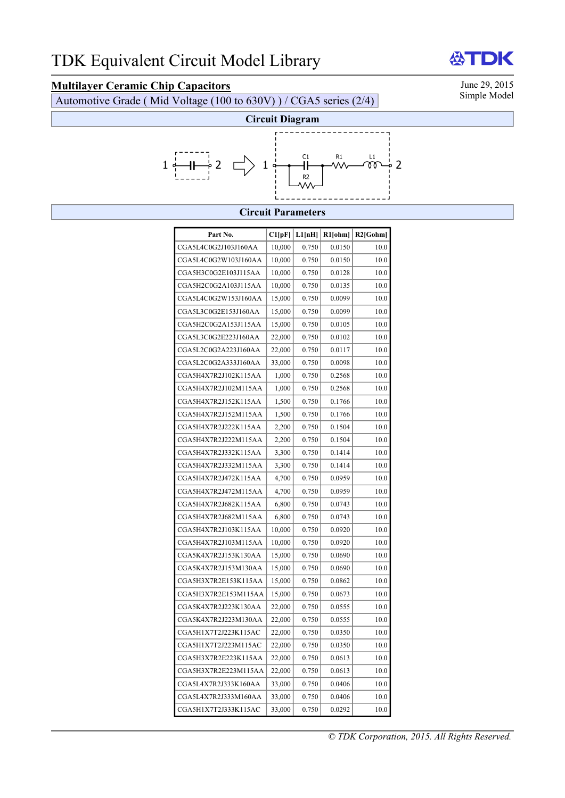## **Multilayer Ceramic Chip Capacitors** June 29, 2015<br>
Automotive Grade (Mid Voltage (100 to 630V)) / CGA5 series (2/4) Simple Model

Automotive Grade ( Mid Voltage  $(100 \text{ to } 630 \text{V})$  ) / CGA5 series  $(2/4)$ 



#### **Circuit Parameters**

| Part No.             | Cl[pF] | L1[nH] | R1[ohm] | $R2$ [Gohm] |
|----------------------|--------|--------|---------|-------------|
| CGA5L4C0G2J103J160AA | 10,000 | 0.750  | 0.0150  | 10.0        |
| CGA5L4C0G2W103J160AA | 10,000 | 0.750  | 0.0150  | 10.0        |
| CGA5H3C0G2E103J115AA | 10,000 | 0.750  | 0.0128  | 10.0        |
| CGA5H2C0G2A103J115AA | 10,000 | 0.750  | 0.0135  | 10.0        |
| CGA5L4C0G2W153J160AA | 15,000 | 0.750  | 0.0099  | 10.0        |
|                      |        |        |         |             |
| CGA5L3C0G2E153J160AA | 15,000 | 0.750  | 0.0099  | 10.0        |
| CGA5H2C0G2A153J115AA | 15,000 | 0.750  | 0.0105  | 10.0        |
| CGA5L3C0G2E223J160AA | 22,000 | 0.750  | 0.0102  | 10.0        |
| CGA5L2C0G2A223J160AA | 22,000 | 0.750  | 0.0117  | 10.0        |
| CGA5L2C0G2A333J160AA | 33,000 | 0.750  | 0.0098  | 10.0        |
| CGA5H4X7R2J102K115AA | 1,000  | 0.750  | 0.2568  | 10.0        |
| CGA5H4X7R2J102M115AA | 1,000  | 0.750  | 0.2568  | 10.0        |
| CGA5H4X7R2J152K115AA | 1,500  | 0.750  | 0.1766  | 10.0        |
| CGA5H4X7R2J152M115AA | 1,500  | 0.750  | 0.1766  | 10.0        |
| CGA5H4X7R2J222K115AA | 2,200  | 0.750  | 0.1504  | 10.0        |
| CGA5H4X7R2J222M115AA | 2,200  | 0.750  | 0.1504  | 10.0        |
| CGA5H4X7R2J332K115AA | 3,300  | 0.750  | 0.1414  | 10.0        |
| CGA5H4X7R2J332M115AA | 3,300  | 0.750  | 0.1414  | 10.0        |
| CGA5H4X7R2J472K115AA | 4,700  | 0.750  | 0.0959  | 10.0        |
| CGA5H4X7R2J472M115AA | 4,700  | 0.750  | 0.0959  | 10.0        |
| CGA5H4X7R2J682K115AA | 6,800  | 0.750  | 0.0743  | 10.0        |
| CGA5H4X7R2J682M115AA | 6,800  | 0.750  | 0.0743  | 10.0        |
| CGA5H4X7R2J103K115AA | 10,000 | 0.750  | 0.0920  | 10.0        |
| CGA5H4X7R2J103M115AA | 10,000 | 0.750  | 0.0920  | 10.0        |
| CGA5K4X7R2J153K130AA | 15,000 | 0.750  | 0.0690  | 10.0        |
| CGA5K4X7R2J153M130AA | 15,000 | 0.750  | 0.0690  | 10.0        |
| CGA5H3X7R2E153K115AA | 15,000 | 0.750  | 0.0862  | 10.0        |
| CGA5H3X7R2E153M115AA | 15,000 | 0.750  | 0.0673  | 10.0        |
| CGA5K4X7R2J223K130AA | 22,000 | 0.750  | 0.0555  | 10.0        |
| CGA5K4X7R2J223M130AA | 22,000 | 0.750  | 0.0555  | 10.0        |
| CGA5H1X7T2J223K115AC | 22,000 | 0.750  | 0.0350  | 10.0        |
| CGA5H1X7T2J223M115AC | 22,000 | 0.750  | 0.0350  | 10.0        |
| CGA5H3X7R2E223K115AA | 22,000 | 0.750  | 0.0613  | 10.0        |
| CGA5H3X7R2E223M115AA | 22,000 | 0.750  | 0.0613  | 10.0        |
| CGA5L4X7R2J333K160AA | 33,000 | 0.750  | 0.0406  | 10.0        |
| CGA5L4X7R2J333M160AA | 33,000 | 0.750  | 0.0406  | 10.0        |
| CGA5H1X7T2J333K115AC | 33,000 | 0.750  | 0.0292  | 10.0        |

DK 份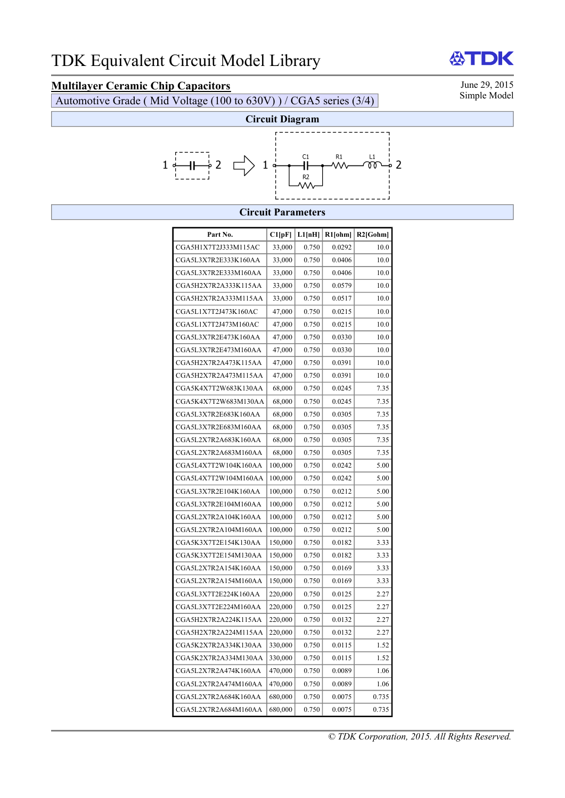## **Multilayer Ceramic Chip Capacitors** June 29, 2015<br>Automotive Grade (Mid Voltage (100 to 630V)) / CGA5 series (3/4) Simple Model

Automotive Grade ( Mid Voltage  $(100 \text{ to } 630 \text{V})$  ) / CGA5 series  $(3/4)$ 



#### **Circuit Parameters**

| Part No.             | Cl[pF]  | L1[nH] | $R1$ [ohm] | $R2$ [Gohm] |
|----------------------|---------|--------|------------|-------------|
| CGA5H1X7T2J333M115AC | 33,000  | 0.750  | 0.0292     | 10.0        |
| CGA5L3X7R2E333K160AA | 33,000  | 0.750  | 0.0406     | 10.0        |
| CGA5L3X7R2E333M160AA | 33,000  | 0.750  | 0.0406     | 10.0        |
| CGA5H2X7R2A333K115AA | 33,000  | 0.750  | 0.0579     | 10.0        |
| CGA5H2X7R2A333M115AA | 33,000  | 0.750  | 0.0517     | 10.0        |
| CGA5L1X7T2J473K160AC | 47,000  | 0.750  | 0.0215     | 10.0        |
| CGA5L1X7T2J473M160AC | 47,000  | 0.750  | 0.0215     | 10.0        |
| CGA5L3X7R2E473K160AA | 47,000  | 0.750  | 0.0330     | 10.0        |
| CGA5L3X7R2E473M160AA | 47,000  | 0.750  | 0.0330     | 10.0        |
| CGA5H2X7R2A473K115AA | 47,000  | 0.750  | 0.0391     | 10.0        |
| CGA5H2X7R2A473M115AA | 47,000  | 0.750  | 0.0391     | 10.0        |
| CGA5K4X7T2W683K130AA | 68,000  | 0.750  | 0.0245     | 7.35        |
| CGA5K4X7T2W683M130AA | 68,000  | 0.750  | 0.0245     | 7.35        |
| CGA5L3X7R2E683K160AA | 68,000  | 0.750  | 0.0305     | 7.35        |
| CGA5L3X7R2E683M160AA | 68,000  | 0.750  | 0.0305     | 7.35        |
| CGA5L2X7R2A683K160AA | 68,000  | 0.750  | 0.0305     | 7.35        |
| CGA5L2X7R2A683M160AA | 68,000  | 0.750  | 0.0305     | 7.35        |
| CGA5L4X7T2W104K160AA | 100,000 | 0.750  | 0.0242     | 5.00        |
| CGA5L4X7T2W104M160AA | 100,000 | 0.750  | 0.0242     | 5.00        |
| CGA5L3X7R2E104K160AA | 100,000 | 0.750  | 0.0212     | 5.00        |
| CGA5L3X7R2E104M160AA | 100,000 | 0.750  | 0.0212     | 5.00        |
| CGA5L2X7R2A104K160AA | 100,000 | 0.750  | 0.0212     | 5.00        |
| CGA5L2X7R2A104M160AA | 100,000 | 0.750  | 0.0212     | 5.00        |
| CGA5K3X7T2E154K130AA | 150,000 | 0.750  | 0.0182     | 3.33        |
| CGA5K3X7T2E154M130AA | 150,000 | 0.750  | 0.0182     | 3.33        |
| CGA5L2X7R2A154K160AA | 150,000 | 0.750  | 0.0169     | 3.33        |
| CGA5L2X7R2A154M160AA | 150,000 | 0.750  | 0.0169     | 3.33        |
| CGA5L3X7T2E224K160AA | 220,000 | 0.750  | 0.0125     | 2.27        |
| CGA5L3X7T2E224M160AA | 220,000 | 0.750  | 0.0125     | 2.27        |
| CGA5H2X7R2A224K115AA | 220,000 | 0.750  | 0.0132     | 2.27        |
| CGA5H2X7R2A224M115AA | 220,000 | 0.750  | 0.0132     | 2.27        |
| CGA5K2X7R2A334K130AA | 330,000 | 0.750  | 0.0115     | 1.52        |
| CGA5K2X7R2A334M130AA | 330,000 | 0.750  | 0.0115     | 1.52        |
| CGA5L2X7R2A474K160AA | 470,000 | 0.750  | 0.0089     | 1.06        |
| CGA5L2X7R2A474M160AA | 470,000 | 0.750  | 0.0089     | 1.06        |
| CGA5L2X7R2A684K160AA | 680,000 | 0.750  | 0.0075     | 0.735       |
| CGA5L2X7R2A684M160AA | 680,000 | 0.750  | 0.0075     | 0.735       |